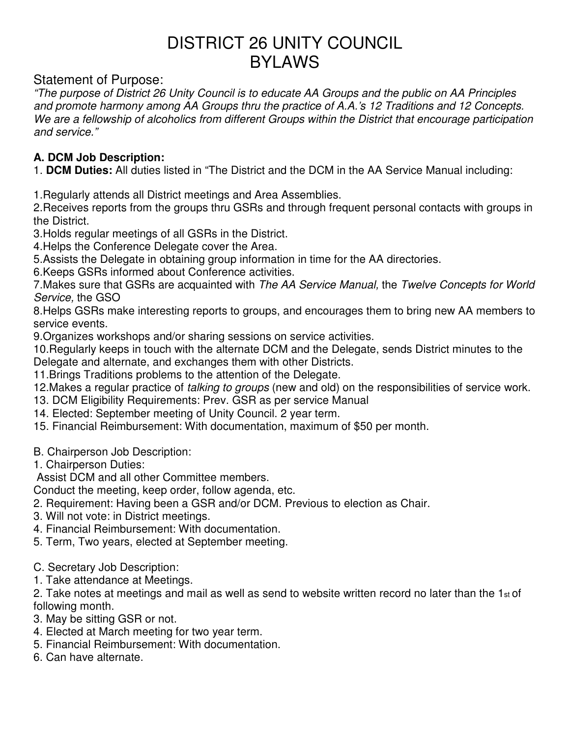# DISTRICT 26 UNITY COUNCIL BYLAWS

## Statement of Purpose:

"The purpose of District 26 Unity Council is to educate AA Groups and the public on AA Principles and promote harmony among AA Groups thru the practice of A.A.'s 12 Traditions and 12 Concepts. We are a fellowship of alcoholics from different Groups within the District that encourage participation and service."

## **A. DCM Job Description:**

1. **DCM Duties:** All duties listed in "The District and the DCM in the AA Service Manual including:

1.Regularly attends all District meetings and Area Assemblies.

2.Receives reports from the groups thru GSRs and through frequent personal contacts with groups in the District.

3.Holds regular meetings of all GSRs in the District.

4.Helps the Conference Delegate cover the Area.

5.Assists the Delegate in obtaining group information in time for the AA directories.

6.Keeps GSRs informed about Conference activities.

7. Makes sure that GSRs are acquainted with The AA Service Manual, the Twelve Concepts for World Service, the GSO

8.Helps GSRs make interesting reports to groups, and encourages them to bring new AA members to service events.

9.Organizes workshops and/or sharing sessions on service activities.

10.Regularly keeps in touch with the alternate DCM and the Delegate, sends District minutes to the Delegate and alternate, and exchanges them with other Districts.

11.Brings Traditions problems to the attention of the Delegate.

12. Makes a regular practice of talking to groups (new and old) on the responsibilities of service work.

- 13. DCM Eligibility Requirements: Prev. GSR as per service Manual
- 14. Elected: September meeting of Unity Council. 2 year term.
- 15. Financial Reimbursement: With documentation, maximum of \$50 per month.
- B. Chairperson Job Description:
- 1. Chairperson Duties:

Assist DCM and all other Committee members.

Conduct the meeting, keep order, follow agenda, etc.

2. Requirement: Having been a GSR and/or DCM. Previous to election as Chair.

- 3. Will not vote: in District meetings.
- 4. Financial Reimbursement: With documentation.
- 5. Term, Two years, elected at September meeting.
- C. Secretary Job Description:
- 1. Take attendance at Meetings.

2. Take notes at meetings and mail as well as send to website written record no later than the 1st of following month.

- 3. May be sitting GSR or not.
- 4. Elected at March meeting for two year term.
- 5. Financial Reimbursement: With documentation.
- 6. Can have alternate.